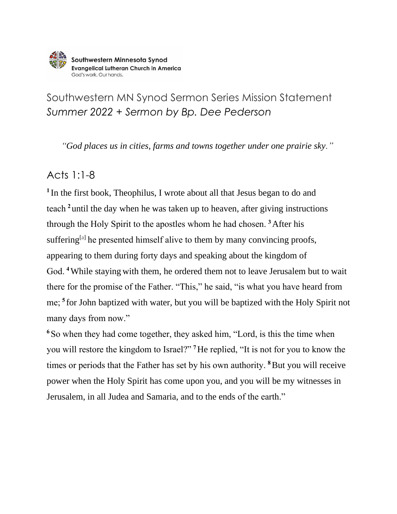

## Southwestern MN Synod Sermon Series Mission Statement *Summer 2022 + Sermon by Bp. Dee Pederson*

*"God places us in cities, farms and towns together under one prairie sky."*

## Acts 1:1-8

**<sup>1</sup>**In the first book, Theophilus, I wrote about all that Jesus began to do and teach **<sup>2</sup>**until the day when he was taken up to heaven, after giving instructions through the Holy Spirit to the apostles whom he had chosen. **<sup>3</sup>**After his suffering<sup>[\[a\]](https://www.biblegateway.com/passage/?search=acts+1%3A1-8&version=NRSVUE#fen-NRSVUE-26916a)</sup> he presented himself alive to them by many convincing proofs, appearing to them during forty days and speaking about the kingdom of God. **<sup>4</sup>**While staying with them, he ordered them not to leave Jerusalem but to wait there for the promise of the Father. "This," he said, "is what you have heard from me; **<sup>5</sup>**for John baptized with water, but you will be baptized with the Holy Spirit not many days from now."

**<sup>6</sup>**So when they had come together, they asked him, "Lord, is this the time when you will restore the kingdom to Israel?" **<sup>7</sup>**He replied, "It is not for you to know the times or periods that the Father has set by his own authority. **<sup>8</sup>**But you will receive power when the Holy Spirit has come upon you, and you will be my witnesses in Jerusalem, in all Judea and Samaria, and to the ends of the earth."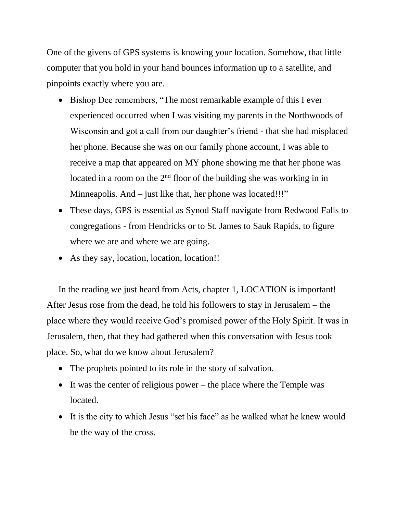One of the givens of GPS systems is knowing your location. Somehow, that little computer that you hold in your hand bounces information up to a satellite, and pinpoints exactly where you are.

- Bishop Dee remembers, "The most remarkable example of this I ever experienced occurred when I was visiting my parents in the Northwoods of Wisconsin and got a call from our daughter's friend - that she had misplaced her phone. Because she was on our family phone account, I was able to receive a map that appeared on MY phone showing me that her phone was located in a room on the  $2<sup>nd</sup>$  floor of the building she was working in in Minneapolis. And – just like that, her phone was located!!!"
- These days, GPS is essential as Synod Staff navigate from Redwood Falls to congregations - from Hendricks or to St. James to Sauk Rapids, to figure where we are and where we are going.
- As they say, location, location, location!!

In the reading we just heard from Acts, chapter 1, LOCATION is important! After Jesus rose from the dead, he told his followers to stay in Jerusalem – the place where they would receive God's promised power of the Holy Spirit. It was in Jerusalem, then, that they had gathered when this conversation with Jesus took place. So, what do we know about Jerusalem?

- The prophets pointed to its role in the story of salvation.
- It was the center of religious power the place where the Temple was located.
- It is the city to which Jesus "set his face" as he walked what he knew would be the way of the cross.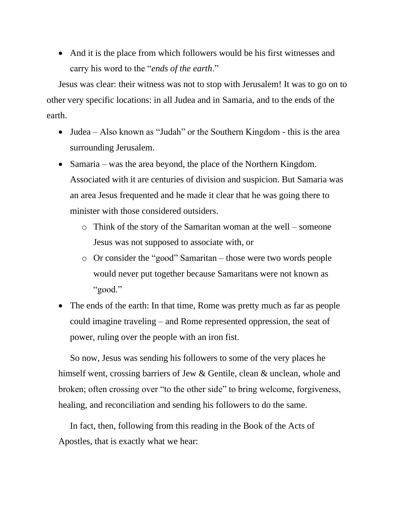• And it is the place from which followers would be his first witnesses and carry his word to the "*ends of the earth*."

Jesus was clear: their witness was not to stop with Jerusalem! It was to go on to other very specific locations: in all Judea and in Samaria, and to the ends of the earth.

- Judea Also known as "Judah" or the Southern Kingdom this is the area surrounding Jerusalem.
- Samaria was the area beyond, the place of the Northern Kingdom. Associated with it are centuries of division and suspicion. But Samaria was an area Jesus frequented and he made it clear that he was going there to minister with those considered outsiders.
	- o Think of the story of the Samaritan woman at the well someone Jesus was not supposed to associate with, or
	- o Or consider the "good" Samaritan those were two words people would never put together because Samaritans were not known as "good."
- The ends of the earth: In that time, Rome was pretty much as far as people could imagine traveling – and Rome represented oppression, the seat of power, ruling over the people with an iron fist.

So now, Jesus was sending his followers to some of the very places he himself went, crossing barriers of Jew & Gentile, clean & unclean, whole and broken; often crossing over "to the other side" to bring welcome, forgiveness, healing, and reconciliation and sending his followers to do the same.

In fact, then, following from this reading in the Book of the Acts of Apostles, that is exactly what we hear: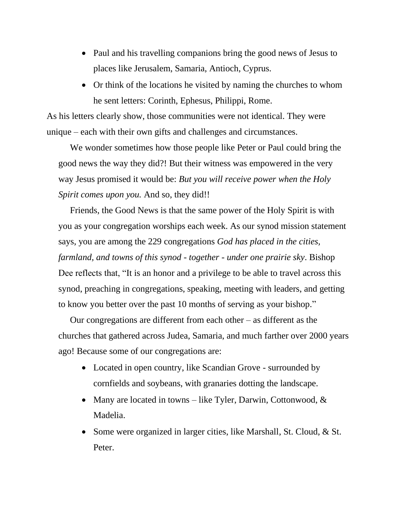- Paul and his travelling companions bring the good news of Jesus to places like Jerusalem, Samaria, Antioch, Cyprus.
- Or think of the locations he visited by naming the churches to whom he sent letters: Corinth, Ephesus, Philippi, Rome.

As his letters clearly show, those communities were not identical. They were unique – each with their own gifts and challenges and circumstances.

We wonder sometimes how those people like Peter or Paul could bring the good news the way they did?! But their witness was empowered in the very way Jesus promised it would be: *But you will receive power when the Holy Spirit comes upon you.* And so, they did!!

Friends, the Good News is that the same power of the Holy Spirit is with you as your congregation worships each week. As our synod mission statement says, you are among the 229 congregations *God has placed in the cities, farmland, and towns of this synod - together - under one prairie sky*. Bishop Dee reflects that, "It is an honor and a privilege to be able to travel across this synod, preaching in congregations, speaking, meeting with leaders, and getting to know you better over the past 10 months of serving as your bishop."

Our congregations are different from each other – as different as the churches that gathered across Judea, Samaria, and much farther over 2000 years ago! Because some of our congregations are:

- Located in open country, like Scandian Grove surrounded by cornfields and soybeans, with granaries dotting the landscape.
- Many are located in towns like Tyler, Darwin, Cottonwood, & Madelia.
- Some were organized in larger cities, like Marshall, St. Cloud, & St. Peter.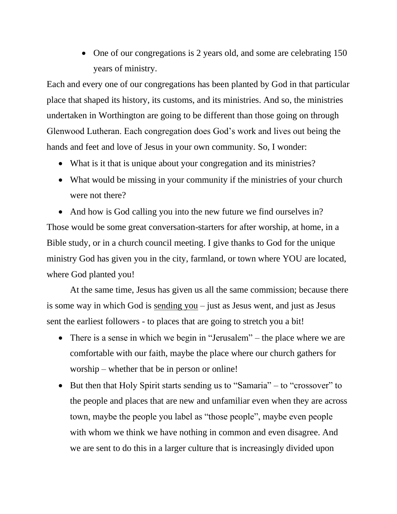• One of our congregations is 2 years old, and some are celebrating 150 years of ministry.

Each and every one of our congregations has been planted by God in that particular place that shaped its history, its customs, and its ministries. And so, the ministries undertaken in Worthington are going to be different than those going on through Glenwood Lutheran. Each congregation does God's work and lives out being the hands and feet and love of Jesus in your own community. So, I wonder:

- What is it that is unique about your congregation and its ministries?
- What would be missing in your community if the ministries of your church were not there?

• And how is God calling you into the new future we find ourselves in? Those would be some great conversation-starters for after worship, at home, in a Bible study, or in a church council meeting. I give thanks to God for the unique ministry God has given you in the city, farmland, or town where YOU are located, where God planted you!

At the same time, Jesus has given us all the same commission; because there is some way in which God is sending you – just as Jesus went, and just as Jesus sent the earliest followers - to places that are going to stretch you a bit!

- There is a sense in which we begin in "Jerusalem" the place where we are comfortable with our faith, maybe the place where our church gathers for worship – whether that be in person or online!
- But then that Holy Spirit starts sending us to "Samaria" to "crossover" to the people and places that are new and unfamiliar even when they are across town, maybe the people you label as "those people", maybe even people with whom we think we have nothing in common and even disagree. And we are sent to do this in a larger culture that is increasingly divided upon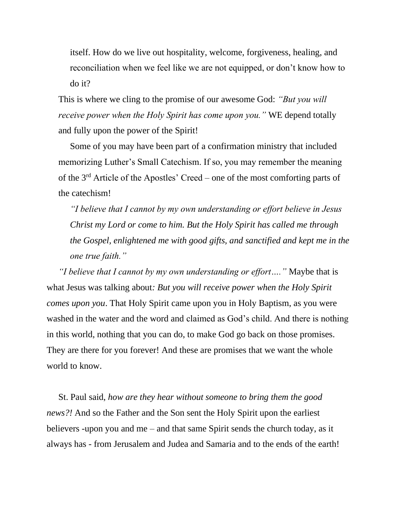itself. How do we live out hospitality, welcome, forgiveness, healing, and reconciliation when we feel like we are not equipped, or don't know how to do it?

This is where we cling to the promise of our awesome God: *"But you will receive power when the Holy Spirit has come upon you."* WE depend totally and fully upon the power of the Spirit!

Some of you may have been part of a confirmation ministry that included memorizing Luther's Small Catechism. If so, you may remember the meaning of the 3rd Article of the Apostles' Creed – one of the most comforting parts of the catechism!

*"I believe that I cannot by my own understanding or effort believe in Jesus Christ my Lord or come to him. But the Holy Spirit has called me through the Gospel, enlightened me with good gifts, and sanctified and kept me in the one true faith."* 

*"I believe that I cannot by my own understanding or effort…."* Maybe that is what Jesus was talking about*: But you will receive power when the Holy Spirit comes upon you*. That Holy Spirit came upon you in Holy Baptism, as you were washed in the water and the word and claimed as God's child. And there is nothing in this world, nothing that you can do, to make God go back on those promises. They are there for you forever! And these are promises that we want the whole world to know.

St. Paul said, *how are they hear without someone to bring them the good news?!* And so the Father and the Son sent the Holy Spirit upon the earliest believers -upon you and me – and that same Spirit sends the church today, as it always has - from Jerusalem and Judea and Samaria and to the ends of the earth!